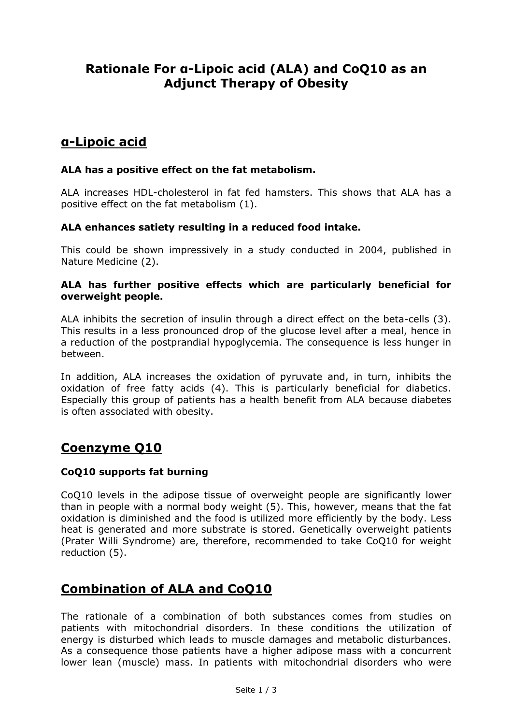# **Rationale For α-Lipoic acid (ALA) and CoQ10 as an Adjunct Therapy of Obesity**

## **α-Lipoic acid**

#### **ALA has a positive effect on the fat metabolism.**

ALA increases HDL-cholesterol in fat fed hamsters. This shows that ALA has a positive effect on the fat metabolism (1).

#### **ALA enhances satiety resulting in a reduced food intake.**

This could be shown impressively in a study conducted in 2004, published in Nature Medicine (2).

#### **ALA has further positive effects which are particularly beneficial for overweight people.**

ALA inhibits the secretion of insulin through a direct effect on the beta-cells (3). This results in a less pronounced drop of the glucose level after a meal, hence in a reduction of the postprandial hypoglycemia. The consequence is less hunger in between.

In addition, ALA increases the oxidation of pyruvate and, in turn, inhibits the oxidation of free fatty acids (4). This is particularly beneficial for diabetics. Especially this group of patients has a health benefit from ALA because diabetes is often associated with obesity.

# **Coenzyme Q10**

#### **CoQ10 supports fat burning**

CoQ10 levels in the adipose tissue of overweight people are significantly lower than in people with a normal body weight (5). This, however, means that the fat oxidation is diminished and the food is utilized more efficiently by the body. Less heat is generated and more substrate is stored. Genetically overweight patients (Prater Willi Syndrome) are, therefore, recommended to take CoQ10 for weight reduction (5).

# **Combination of ALA and CoQ10**

The rationale of a combination of both substances comes from studies on patients with mitochondrial disorders. In these conditions the utilization of energy is disturbed which leads to muscle damages and metabolic disturbances. As a consequence those patients have a higher adipose mass with a concurrent lower lean (muscle) mass. In patients with mitochondrial disorders who were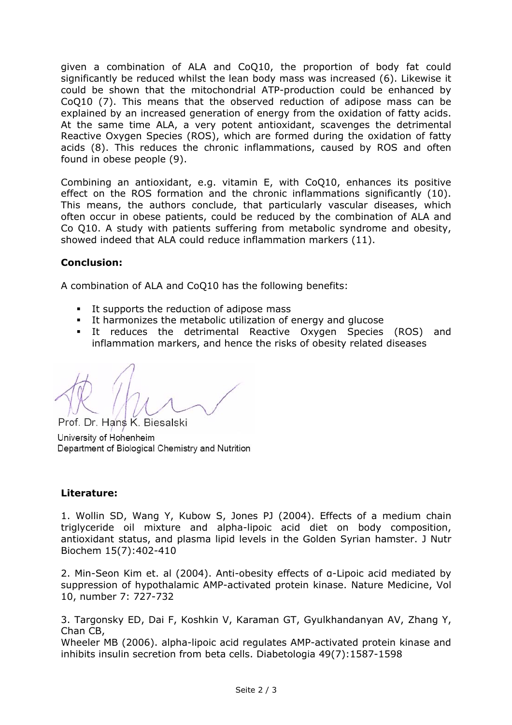given a combination of ALA and CoQ10, the proportion of body fat could significantly be reduced whilst the lean body mass was increased (6). Likewise it could be shown that the mitochondrial ATP-production could be enhanced by CoQ10 (7). This means that the observed reduction of adipose mass can be explained by an increased generation of energy from the oxidation of fatty acids. At the same time ALA, a very potent antioxidant, scavenges the detrimental Reactive Oxygen Species (ROS), which are formed during the oxidation of fatty acids (8). This reduces the chronic inflammations, caused by ROS and often found in obese people (9).

Combining an antioxidant, e.g. vitamin E, with CoQ10, enhances its positive effect on the ROS formation and the chronic inflammations significantly (10). This means, the authors conclude, that particularly vascular diseases, which often occur in obese patients, could be reduced by the combination of ALA and Co Q10. A study with patients suffering from metabolic syndrome and obesity, showed indeed that ALA could reduce inflammation markers (11).

### **Conclusion:**

A combination of ALA and CoQ10 has the following benefits:

- It supports the reduction of adipose mass
- It harmonizes the metabolic utilization of energy and glucose
- It reduces the detrimental Reactive Oxygen Species (ROS) and inflammation markers, and hence the risks of obesity related diseases

Prof. Dr. Hans K. Biesalski University of Hohenheim Department of Biological Chemistry and Nutrition

### **Literature:**

1. Wollin SD, Wang Y, Kubow S, Jones PJ (2004). Effects of a medium chain triglyceride oil mixture and alpha-lipoic acid diet on body composition, antioxidant status, and plasma lipid levels in the Golden Syrian hamster. J Nutr Biochem 15(7):402-410

2. Min-Seon Kim et. al (2004). Anti-obesity effects of α-Lipoic acid mediated by suppression of hypothalamic AMP-activated protein kinase. Nature Medicine, Vol 10, number 7: 727-732

3. Targonsky ED, Dai F, Koshkin V, Karaman GT, Gyulkhandanyan AV, Zhang Y, Chan CB,

Wheeler MB (2006). alpha-lipoic acid regulates AMP-activated protein kinase and inhibits insulin secretion from beta cells. Diabetologia 49(7):1587-1598